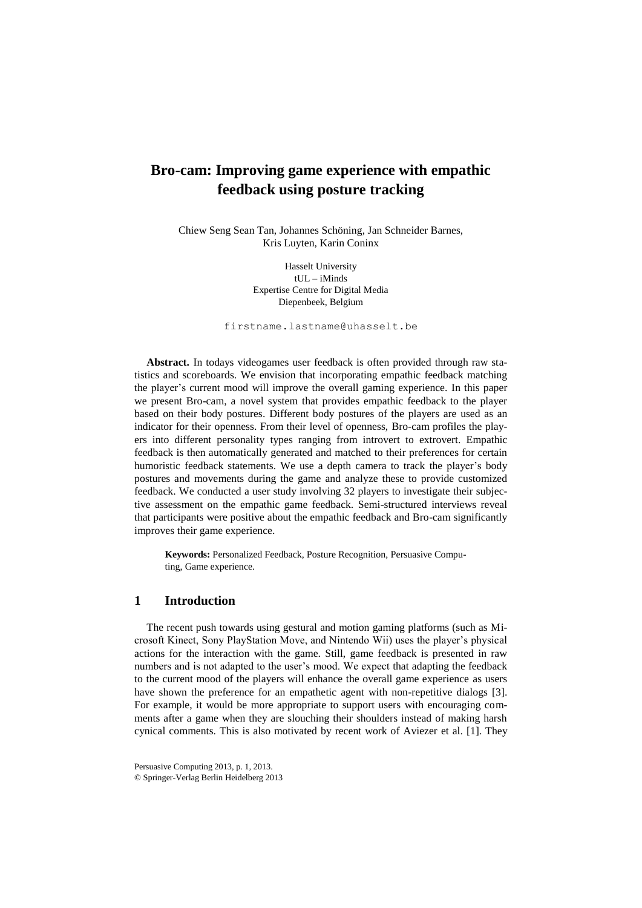# **Bro-cam: Improving game experience with empathic feedback using posture tracking**

Chiew Seng Sean Tan, Johannes Schöning, Jan Schneider Barnes, Kris Luyten, Karin Coninx

> Hasselt University tUL – iMinds Expertise Centre for Digital Media Diepenbeek, Belgium

[firstname.lastname@uhasselt.be](mailto:firstname.lastname@uhasselt.be)

**Abstract.** In todays videogames user feedback is often provided through raw statistics and scoreboards. We envision that incorporating empathic feedback matching the player's current mood will improve the overall gaming experience. In this paper we present Bro-cam, a novel system that provides empathic feedback to the player based on their body postures. Different body postures of the players are used as an indicator for their openness. From their level of openness, Bro-cam profiles the players into different personality types ranging from introvert to extrovert. Empathic feedback is then automatically generated and matched to their preferences for certain humoristic feedback statements. We use a depth camera to track the player's body postures and movements during the game and analyze these to provide customized feedback. We conducted a user study involving 32 players to investigate their subjective assessment on the empathic game feedback. Semi-structured interviews reveal that participants were positive about the empathic feedback and Bro-cam significantly improves their game experience.

**Keywords:** Personalized Feedback, Posture Recognition, Persuasive Computing, Game experience.

# **1 Introduction**

The recent push towards using gestural and motion gaming platforms (such as Microsoft Kinect, Sony PlayStation Move, and Nintendo Wii) uses the player's physical actions for the interaction with the game. Still, game feedback is presented in raw numbers and is not adapted to the user's mood. We expect that adapting the feedback to the current mood of the players will enhance the overall game experience as users have shown the preference for an empathetic agent with non-repetitive dialogs [3]. For example, it would be more appropriate to support users with encouraging comments after a game when they are slouching their shoulders instead of making harsh cynical comments. This is also motivated by recent work of Aviezer et al. [1]. They

Persuasive Computing 2013, p. 1, 2013. © Springer-Verlag Berlin Heidelberg 2013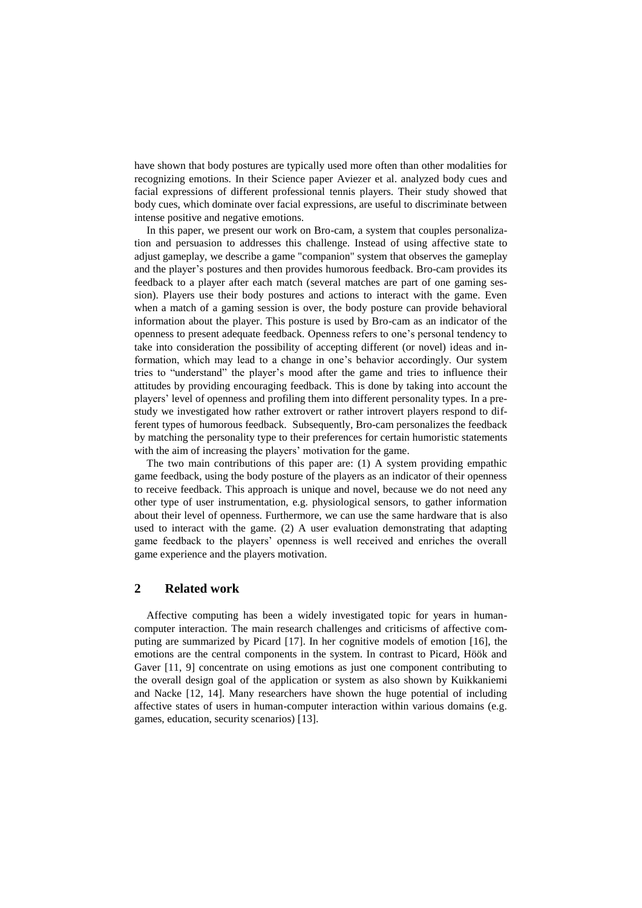have shown that body postures are typically used more often than other modalities for recognizing emotions. In their Science paper Aviezer et al. analyzed body cues and facial expressions of different professional tennis players. Their study showed that body cues, which dominate over facial expressions, are useful to discriminate between intense positive and negative emotions.

In this paper, we present our work on Bro-cam, a system that couples personalization and persuasion to addresses this challenge. Instead of using affective state to adjust gameplay, we describe a game "companion" system that observes the gameplay and the player's postures and then provides humorous feedback. Bro-cam provides its feedback to a player after each match (several matches are part of one gaming session). Players use their body postures and actions to interact with the game. Even when a match of a gaming session is over, the body posture can provide behavioral information about the player. This posture is used by Bro-cam as an indicator of the openness to present adequate feedback. Openness refers to one's personal tendency to take into consideration the possibility of accepting different (or novel) ideas and information, which may lead to a change in one's behavior accordingly. Our system tries to "understand" the player's mood after the game and tries to influence their attitudes by providing encouraging feedback. This is done by taking into account the players' level of openness and profiling them into different personality types. In a prestudy we investigated how rather extrovert or rather introvert players respond to different types of humorous feedback. Subsequently, Bro-cam personalizes the feedback by matching the personality type to their preferences for certain humoristic statements with the aim of increasing the players' motivation for the game.

The two main contributions of this paper are: (1) A system providing empathic game feedback, using the body posture of the players as an indicator of their openness to receive feedback. This approach is unique and novel, because we do not need any other type of user instrumentation, e.g. physiological sensors, to gather information about their level of openness. Furthermore, we can use the same hardware that is also used to interact with the game. (2) A user evaluation demonstrating that adapting game feedback to the players' openness is well received and enriches the overall game experience and the players motivation.

# **2 Related work**

Affective computing has been a widely investigated topic for years in humancomputer interaction. The main research challenges and criticisms of affective computing are summarized by Picard [17]. In her cognitive models of emotion [16], the emotions are the central components in the system. In contrast to Picard, Höök and Gaver [11, 9] concentrate on using emotions as just one component contributing to the overall design goal of the application or system as also shown by Kuikkaniemi and Nacke [12, 14]. Many researchers have shown the huge potential of including affective states of users in human-computer interaction within various domains (e.g. games, education, security scenarios) [13].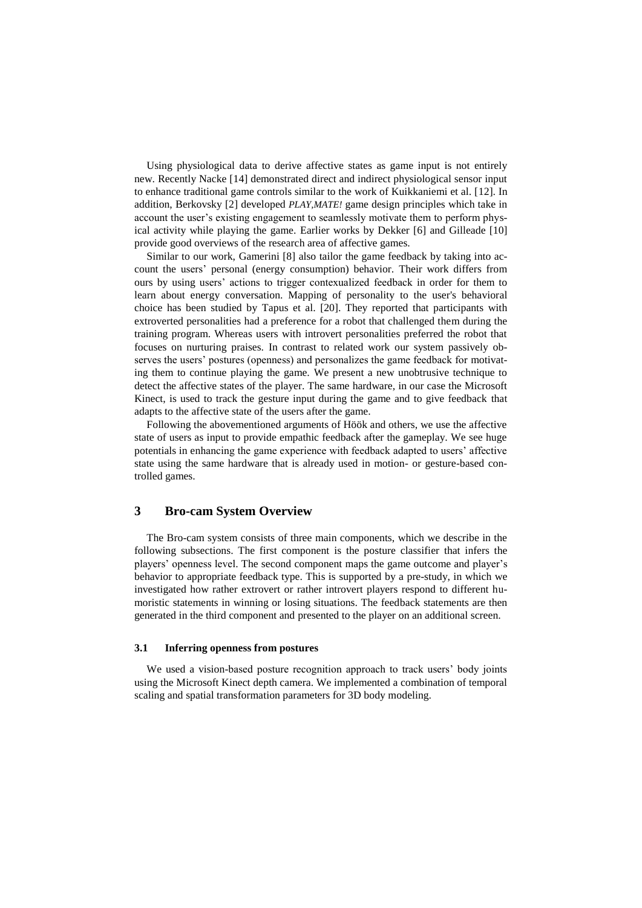Using physiological data to derive affective states as game input is not entirely new. Recently Nacke [14] demonstrated direct and indirect physiological sensor input to enhance traditional game controls similar to the work of Kuikkaniemi et al. [12]. In addition, Berkovsky [2] developed *PLAY,MATE!* game design principles which take in account the user's existing engagement to seamlessly motivate them to perform physical activity while playing the game. Earlier works by Dekker [6] and Gilleade [10] provide good overviews of the research area of affective games.

Similar to our work, Gamerini [8] also tailor the game feedback by taking into account the users' personal (energy consumption) behavior. Their work differs from ours by using users' actions to trigger contexualized feedback in order for them to learn about energy conversation. Mapping of personality to the user's behavioral choice has been studied by Tapus et al. [20]. They reported that participants with extroverted personalities had a preference for a robot that challenged them during the training program. Whereas users with introvert personalities preferred the robot that focuses on nurturing praises. In contrast to related work our system passively observes the users' postures (openness) and personalizes the game feedback for motivating them to continue playing the game. We present a new unobtrusive technique to detect the affective states of the player. The same hardware, in our case the Microsoft Kinect, is used to track the gesture input during the game and to give feedback that adapts to the affective state of the users after the game.

Following the abovementioned arguments of Höök and others, we use the affective state of users as input to provide empathic feedback after the gameplay. We see huge potentials in enhancing the game experience with feedback adapted to users' affective state using the same hardware that is already used in motion- or gesture-based controlled games.

#### **3 Bro-cam System Overview**

The Bro-cam system consists of three main components, which we describe in the following subsections. The first component is the posture classifier that infers the players' openness level. The second component maps the game outcome and player's behavior to appropriate feedback type. This is supported by a pre-study, in which we investigated how rather extrovert or rather introvert players respond to different humoristic statements in winning or losing situations. The feedback statements are then generated in the third component and presented to the player on an additional screen.

#### **3.1 Inferring openness from postures**

We used a vision-based posture recognition approach to track users' body joints using the Microsoft Kinect depth camera. We implemented a combination of temporal scaling and spatial transformation parameters for 3D body modeling.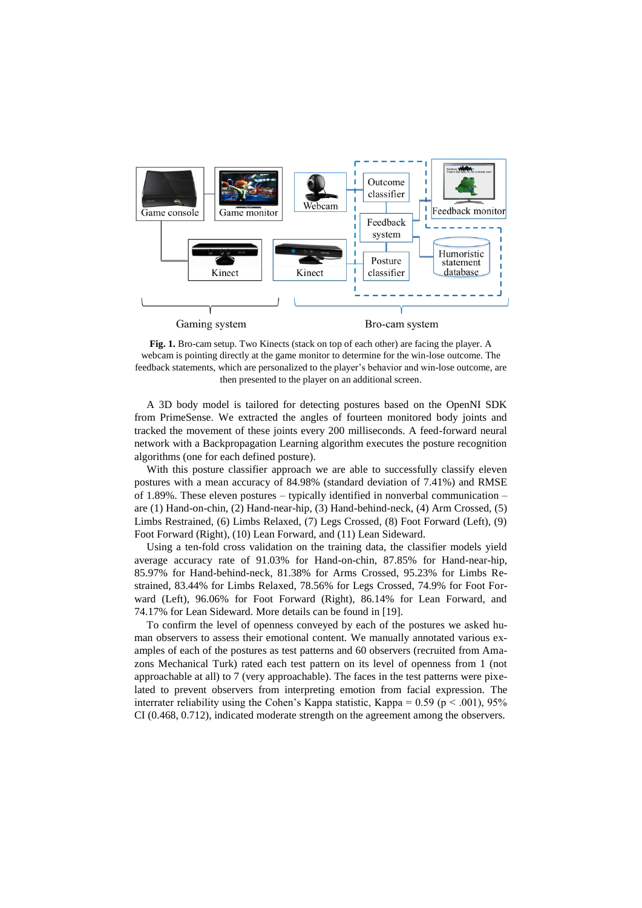

**Fig. 1.** Bro-cam setup. Two Kinects (stack on top of each other) are facing the player. A webcam is pointing directly at the game monitor to determine for the win-lose outcome. The feedback statements, which are personalized to the player's behavior and win-lose outcome, are then presented to the player on an additional screen.

A 3D body model is tailored for detecting postures based on the OpenNI SDK from PrimeSense. We extracted the angles of fourteen monitored body joints and tracked the movement of these joints every 200 milliseconds. A feed-forward neural network with a Backpropagation Learning algorithm executes the posture recognition algorithms (one for each defined posture).

With this posture classifier approach we are able to successfully classify eleven postures with a mean accuracy of 84.98% (standard deviation of 7.41%) and RMSE of 1.89%. These eleven postures – typically identified in nonverbal communication – are (1) Hand-on-chin, (2) Hand-near-hip, (3) Hand-behind-neck, (4) Arm Crossed, (5) Limbs Restrained, (6) Limbs Relaxed, (7) Legs Crossed, (8) Foot Forward (Left), (9) Foot Forward (Right), (10) Lean Forward, and (11) Lean Sideward.

Using a ten-fold cross validation on the training data, the classifier models yield average accuracy rate of 91.03% for Hand-on-chin, 87.85% for Hand-near-hip, 85.97% for Hand-behind-neck, 81.38% for Arms Crossed, 95.23% for Limbs Restrained, 83.44% for Limbs Relaxed, 78.56% for Legs Crossed, 74.9% for Foot Forward (Left), 96.06% for Foot Forward (Right), 86.14% for Lean Forward, and 74.17% for Lean Sideward. More details can be found in [19].

To confirm the level of openness conveyed by each of the postures we asked human observers to assess their emotional content. We manually annotated various examples of each of the postures as test patterns and 60 observers (recruited from Amazons Mechanical Turk) rated each test pattern on its level of openness from 1 (not approachable at all) to 7 (very approachable). The faces in the test patterns were pixelated to prevent observers from interpreting emotion from facial expression. The interrater reliability using the Cohen's Kappa statistic, Kappa =  $0.59$  (p < .001), 95% CI (0.468, 0.712), indicated moderate strength on the agreement among the observers.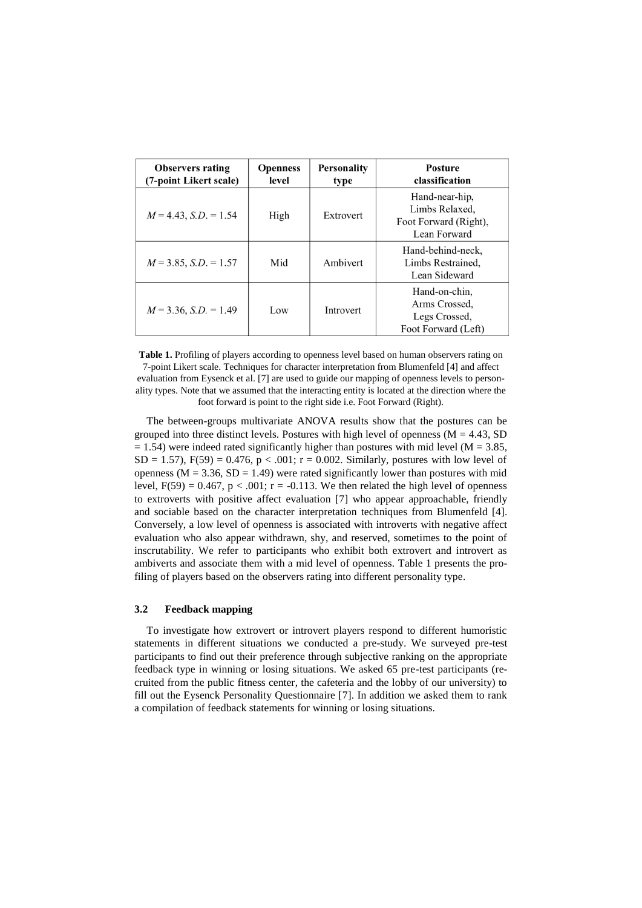| <b>Observers rating</b><br>(7-point Likert scale) | <b>Openness</b><br>level | <b>Personality</b><br>type | <b>Posture</b><br>classification                                          |
|---------------------------------------------------|--------------------------|----------------------------|---------------------------------------------------------------------------|
| $M = 4.43$ , $S.D. = 1.54$                        | High                     | Extrovert                  | Hand-near-hip,<br>Limbs Relaxed.<br>Foot Forward (Right),<br>Lean Forward |
| $M = 3.85$ , $S.D. = 1.57$                        | Mid                      | Ambivert                   | Hand-behind-neck.<br>Limbs Restrained.<br>Lean Sideward                   |
| $M = 3.36$ , $S.D. = 1.49$                        | Low                      | Introvert                  | Hand-on-chin.<br>Arms Crossed.<br>Legs Crossed,<br>Foot Forward (Left)    |

**Table 1.** Profiling of players according to openness level based on human observers rating on

7-point Likert scale. Techniques for character interpretation from Blumenfeld [4] and affect evaluation from Eysenck et al. [7] are used to guide our mapping of openness levels to personality types. Note that we assumed that the interacting entity is located at the direction where the foot forward is point to the right side i.e. Foot Forward (Right).

The between-groups multivariate ANOVA results show that the postures can be grouped into three distinct levels. Postures with high level of openness ( $M = 4.43$ , SD  $= 1.54$ ) were indeed rated significantly higher than postures with mid level (M = 3.85,  $SD = 1.57$ ,  $F(59) = 0.476$ ,  $p < .001$ ;  $r = 0.002$ . Similarly, postures with low level of openness ( $M = 3.36$ ,  $SD = 1.49$ ) were rated significantly lower than postures with mid level,  $F(59) = 0.467$ ,  $p < .001$ ;  $r = -0.113$ . We then related the high level of openness to extroverts with positive affect evaluation [7] who appear approachable, friendly and sociable based on the character interpretation techniques from Blumenfeld [4]. Conversely, a low level of openness is associated with introverts with negative affect evaluation who also appear withdrawn, shy, and reserved, sometimes to the point of inscrutability. We refer to participants who exhibit both extrovert and introvert as ambiverts and associate them with a mid level of openness. Table 1 presents the profiling of players based on the observers rating into different personality type.

### **3.2 Feedback mapping**

To investigate how extrovert or introvert players respond to different humoristic statements in different situations we conducted a pre-study. We surveyed pre-test participants to find out their preference through subjective ranking on the appropriate feedback type in winning or losing situations. We asked 65 pre-test participants (recruited from the public fitness center, the cafeteria and the lobby of our university) to fill out the Eysenck Personality Questionnaire [7]. In addition we asked them to rank a compilation of feedback statements for winning or losing situations.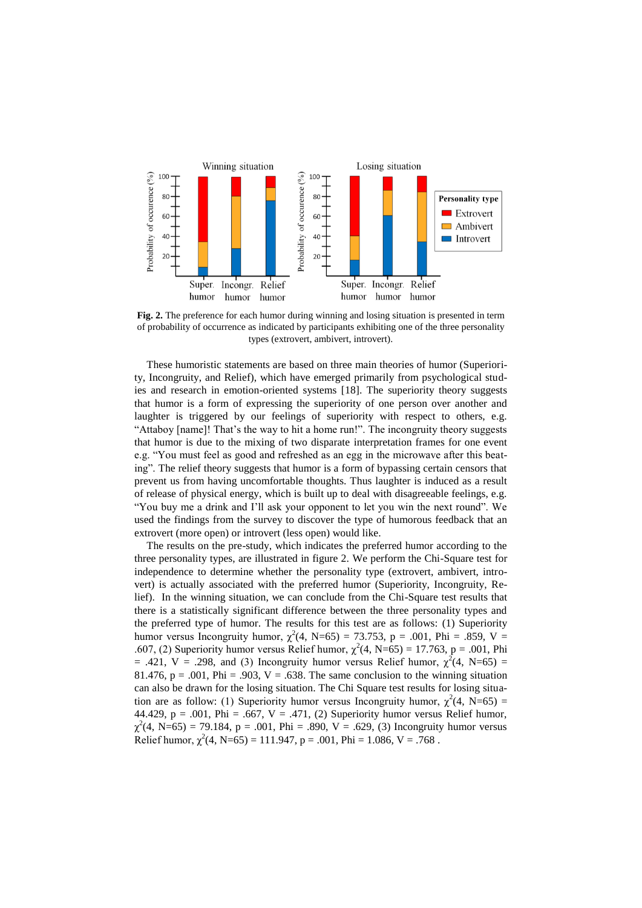

**Fig. 2.** The preference for each humor during winning and losing situation is presented in term of probability of occurrence as indicated by participants exhibiting one of the three personality types (extrovert, ambivert, introvert).

These humoristic statements are based on three main theories of humor (Superiority, Incongruity, and Relief), which have emerged primarily from psychological studies and research in emotion-oriented systems [18]. The superiority theory suggests that humor is a form of expressing the superiority of one person over another and laughter is triggered by our feelings of superiority with respect to others, e.g. "Attaboy [name]! That's the way to hit a home run!". The incongruity theory suggests that humor is due to the mixing of two disparate interpretation frames for one event e.g. "You must feel as good and refreshed as an egg in the microwave after this beating". The relief theory suggests that humor is a form of bypassing certain censors that prevent us from having uncomfortable thoughts. Thus laughter is induced as a result of release of physical energy, which is built up to deal with disagreeable feelings, e.g. "You buy me a drink and I'll ask your opponent to let you win the next round". We used the findings from the survey to discover the type of humorous feedback that an extrovert (more open) or introvert (less open) would like.

The results on the pre-study, which indicates the preferred humor according to the three personality types, are illustrated in figure 2. We perform the Chi-Square test for independence to determine whether the personality type (extrovert, ambivert, introvert) is actually associated with the preferred humor (Superiority, Incongruity, Relief). In the winning situation, we can conclude from the Chi-Square test results that there is a statistically significant difference between the three personality types and the preferred type of humor. The results for this test are as follows: (1) Superiority humor versus Incongruity humor,  $\chi^2(4, N=65) = 73.753$ , p = .001, Phi = .859, V = .607, (2) Superiority humor versus Relief humor,  $\chi^2(4, N=65) = 17.763$ , p = .001, Phi = .421, V = .298, and (3) Incongruity humor versus Relief humor,  $\chi^2(4, N=65)$  = 81.476,  $p = .001$ , Phi = .903, V = .638. The same conclusion to the winning situation can also be drawn for the losing situation. The Chi Square test results for losing situation are as follow: (1) Superiority humor versus Incongruity humor,  $\chi^2(4, N=65)$  = 44.429,  $p = .001$ , Phi = .667, V = .471, (2) Superiority humor versus Relief humor,  $\chi^2(4, N=65) = 79.184$ , p = .001, Phi = .890, V = .629, (3) Incongruity humor versus Relief humor,  $\chi^2(4, N=65) = 111.947$ , p = .001, Phi = 1.086, V = .768.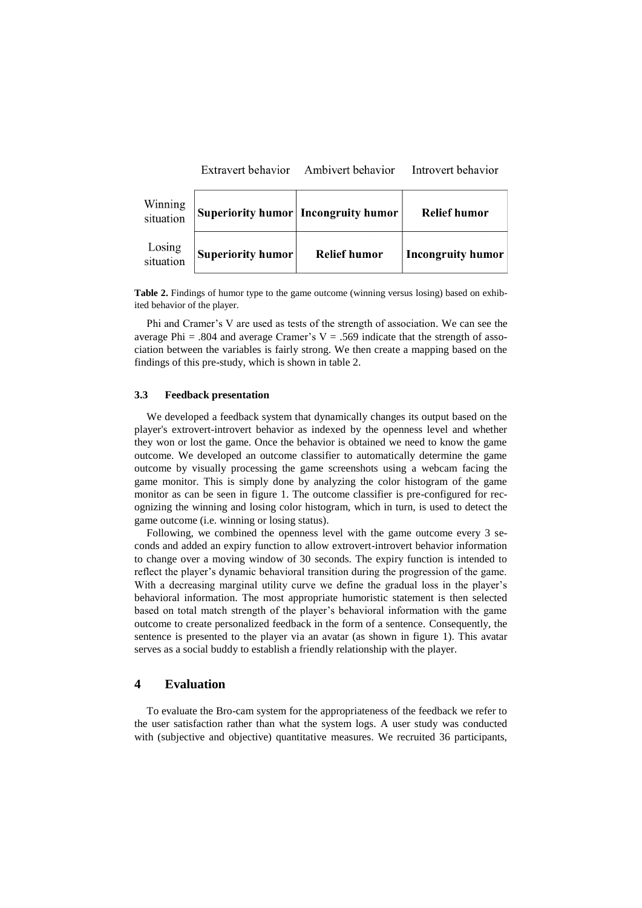| Winning<br>situation |                          | Superiority humor   Incongruity humor | <b>Relief humor</b> |
|----------------------|--------------------------|---------------------------------------|---------------------|
| Losing<br>situation  | <b>Superiority humor</b> | <b>Relief humor</b>                   | Incongruity humor   |

**Table 2.** Findings of humor type to the game outcome (winning versus losing) based on exhibited behavior of the player.

Phi and Cramer's V are used as tests of the strength of association. We can see the average Phi = .804 and average Cramer's  $V = .569$  indicate that the strength of association between the variables is fairly strong. We then create a mapping based on the findings of this pre-study, which is shown in table 2.

#### **3.3 Feedback presentation**

We developed a feedback system that dynamically changes its output based on the player's extrovert-introvert behavior as indexed by the openness level and whether they won or lost the game. Once the behavior is obtained we need to know the game outcome. We developed an outcome classifier to automatically determine the game outcome by visually processing the game screenshots using a webcam facing the game monitor. This is simply done by analyzing the color histogram of the game monitor as can be seen in figure 1. The outcome classifier is pre-configured for recognizing the winning and losing color histogram, which in turn, is used to detect the game outcome (i.e. winning or losing status).

Following, we combined the openness level with the game outcome every 3 seconds and added an expiry function to allow extrovert-introvert behavior information to change over a moving window of 30 seconds. The expiry function is intended to reflect the player's dynamic behavioral transition during the progression of the game. With a decreasing marginal utility curve we define the gradual loss in the player's behavioral information. The most appropriate humoristic statement is then selected based on total match strength of the player's behavioral information with the game outcome to create personalized feedback in the form of a sentence. Consequently, the sentence is presented to the player via an avatar (as shown in figure 1). This avatar serves as a social buddy to establish a friendly relationship with the player.

## **4 Evaluation**

To evaluate the Bro-cam system for the appropriateness of the feedback we refer to the user satisfaction rather than what the system logs. A user study was conducted with (subjective and objective) quantitative measures. We recruited 36 participants,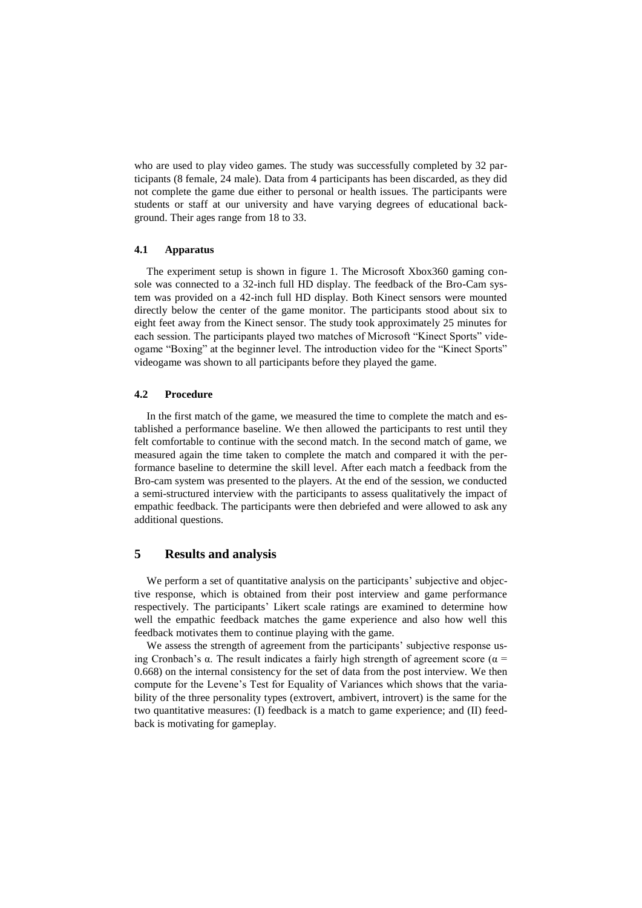who are used to play video games. The study was successfully completed by 32 participants (8 female, 24 male). Data from 4 participants has been discarded, as they did not complete the game due either to personal or health issues. The participants were students or staff at our university and have varying degrees of educational background. Their ages range from 18 to 33.

#### **4.1 Apparatus**

The experiment setup is shown in figure 1. The Microsoft Xbox360 gaming console was connected to a 32-inch full HD display. The feedback of the Bro-Cam system was provided on a 42-inch full HD display. Both Kinect sensors were mounted directly below the center of the game monitor. The participants stood about six to eight feet away from the Kinect sensor. The study took approximately 25 minutes for each session. The participants played two matches of Microsoft "Kinect Sports" videogame "Boxing" at the beginner level. The introduction video for the "Kinect Sports" videogame was shown to all participants before they played the game.

#### **4.2 Procedure**

In the first match of the game, we measured the time to complete the match and established a performance baseline. We then allowed the participants to rest until they felt comfortable to continue with the second match. In the second match of game, we measured again the time taken to complete the match and compared it with the performance baseline to determine the skill level. After each match a feedback from the Bro-cam system was presented to the players. At the end of the session, we conducted a semi-structured interview with the participants to assess qualitatively the impact of empathic feedback. The participants were then debriefed and were allowed to ask any additional questions.

# **5 Results and analysis**

We perform a set of quantitative analysis on the participants' subjective and objective response, which is obtained from their post interview and game performance respectively. The participants' Likert scale ratings are examined to determine how well the empathic feedback matches the game experience and also how well this feedback motivates them to continue playing with the game.

We assess the strength of agreement from the participants' subjective response using Cronbach's  $\alpha$ . The result indicates a fairly high strength of agreement score ( $\alpha$  = 0.668) on the internal consistency for the set of data from the post interview. We then compute for the Levene's Test for Equality of Variances which shows that the variability of the three personality types (extrovert, ambivert, introvert) is the same for the two quantitative measures: (I) feedback is a match to game experience; and (II) feedback is motivating for gameplay.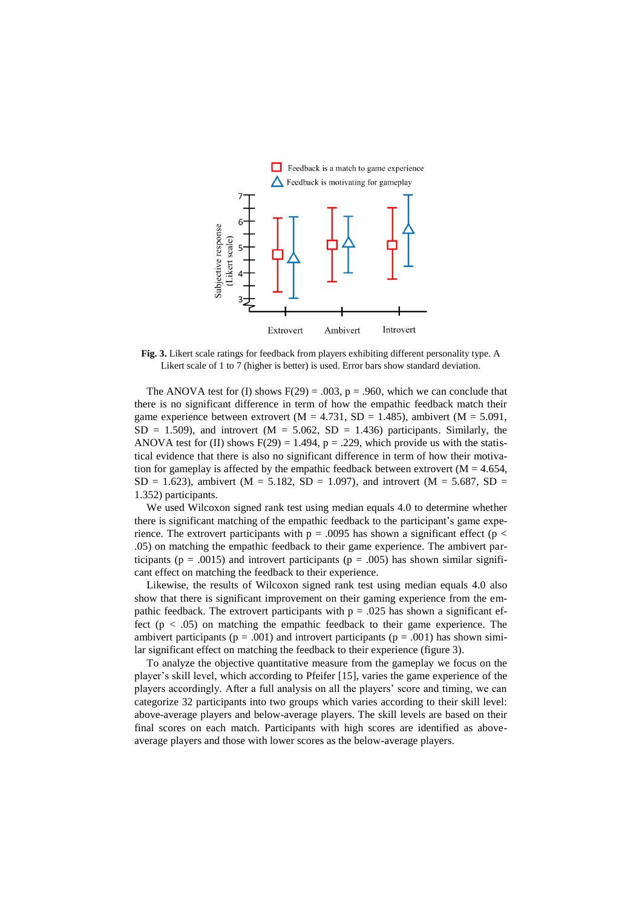

**Fig. 3.** Likert scale ratings for feedback from players exhibiting different personality type. A Likert scale of 1 to 7 (higher is better) is used. Error bars show standard deviation.

The ANOVA test for (I) shows  $F(29) = .003$ ,  $p = .960$ , which we can conclude that there is no significant difference in term of how the empathic feedback match their game experience between extrovert ( $M = 4.731$ , SD = 1.485), ambivert ( $M = 5.091$ ,  $SD = 1.509$ , and introvert (M = 5.062, SD = 1.436) participants. Similarly, the ANOVA test for (II) shows  $F(29) = 1.494$ ,  $p = .229$ , which provide us with the statistical evidence that there is also no significant difference in term of how their motivation for gameplay is affected by the empathic feedback between extrovert  $(M = 4.654$ .  $SD = 1.623$ ), ambivert (M = 5.182, SD = 1.097), and introvert (M = 5.687, SD = 1.352) participants.

We used Wilcoxon signed rank test using median equals 4.0 to determine whether there is significant matching of the empathic feedback to the participant's game experience. The extrovert participants with  $p = .0095$  has shown a significant effect ( $p <$ .05) on matching the empathic feedback to their game experience. The ambivert participants ( $p = .0015$ ) and introvert participants ( $p = .005$ ) has shown similar significant effect on matching the feedback to their experience.

Likewise, the results of Wilcoxon signed rank test using median equals 4.0 also show that there is significant improvement on their gaming experience from the empathic feedback. The extrovert participants with  $p = 0.025$  has shown a significant effect ( $p < .05$ ) on matching the empathic feedback to their game experience. The ambivert participants ( $p = .001$ ) and introvert participants ( $p = .001$ ) has shown similar significant effect on matching the feedback to their experience (figure 3).

To analyze the objective quantitative measure from the gameplay we focus on the player's skill level, which according to Pfeifer [15], varies the game experience of the players accordingly. After a full analysis on all the players' score and timing, we can categorize 32 participants into two groups which varies according to their skill level: above-average players and below-average players. The skill levels are based on their final scores on each match. Participants with high scores are identified as aboveaverage players and those with lower scores as the below-average players.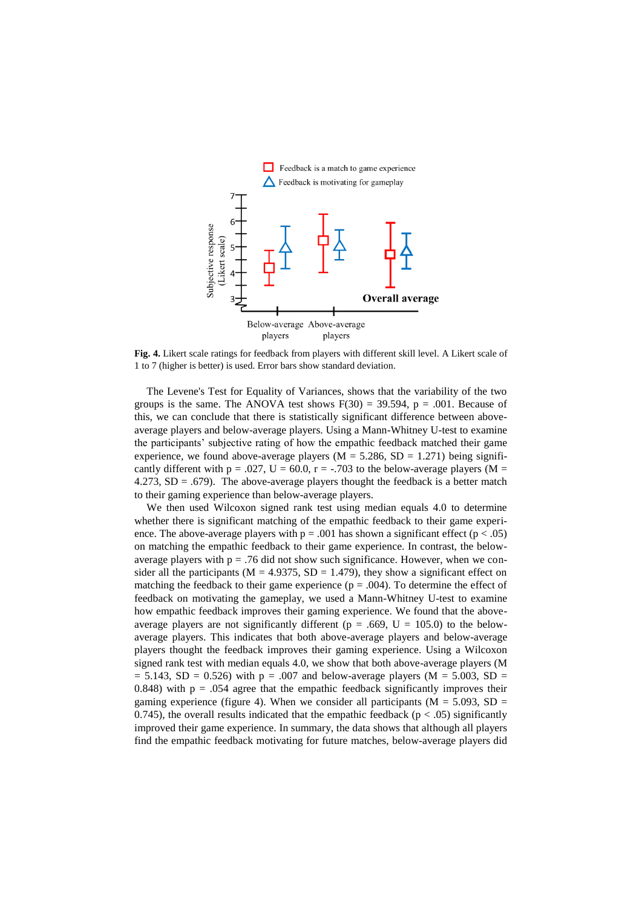

**Fig. 4.** Likert scale ratings for feedback from players with different skill level. A Likert scale of 1 to 7 (higher is better) is used. Error bars show standard deviation.

The Levene's Test for Equality of Variances, shows that the variability of the two groups is the same. The ANOVA test shows  $F(30) = 39.594$ , p = .001. Because of this, we can conclude that there is statistically significant difference between aboveaverage players and below-average players. Using a Mann-Whitney U-test to examine the participants' subjective rating of how the empathic feedback matched their game experience, we found above-average players ( $M = 5.286$ ,  $SD = 1.271$ ) being significantly different with  $p = .027$ ,  $U = 60.0$ ,  $r = -.703$  to the below-average players (M = 4.273,  $SD = .679$ ). The above-average players thought the feedback is a better match to their gaming experience than below-average players.

We then used Wilcoxon signed rank test using median equals 4.0 to determine whether there is significant matching of the empathic feedback to their game experience. The above-average players with  $p = .001$  has shown a significant effect ( $p < .05$ ) on matching the empathic feedback to their game experience. In contrast, the belowaverage players with  $p = 0.76$  did not show such significance. However, when we consider all the participants ( $M = 4.9375$ ,  $SD = 1.479$ ), they show a significant effect on matching the feedback to their game experience ( $p = .004$ ). To determine the effect of feedback on motivating the gameplay, we used a Mann-Whitney U-test to examine how empathic feedback improves their gaming experience. We found that the aboveaverage players are not significantly different ( $p = .669$ ,  $U = 105.0$ ) to the belowaverage players. This indicates that both above-average players and below-average players thought the feedback improves their gaming experience. Using a Wilcoxon signed rank test with median equals 4.0, we show that both above-average players (M  $= 5.143$ , SD  $= 0.526$ ) with p  $= .007$  and below-average players (M  $= 5.003$ , SD  $=$ 0.848) with  $p = 0.054$  agree that the empathic feedback significantly improves their gaming experience (figure 4). When we consider all participants ( $M = 5.093$ , SD = 0.745), the overall results indicated that the empathic feedback ( $p < .05$ ) significantly improved their game experience. In summary, the data shows that although all players find the empathic feedback motivating for future matches, below-average players did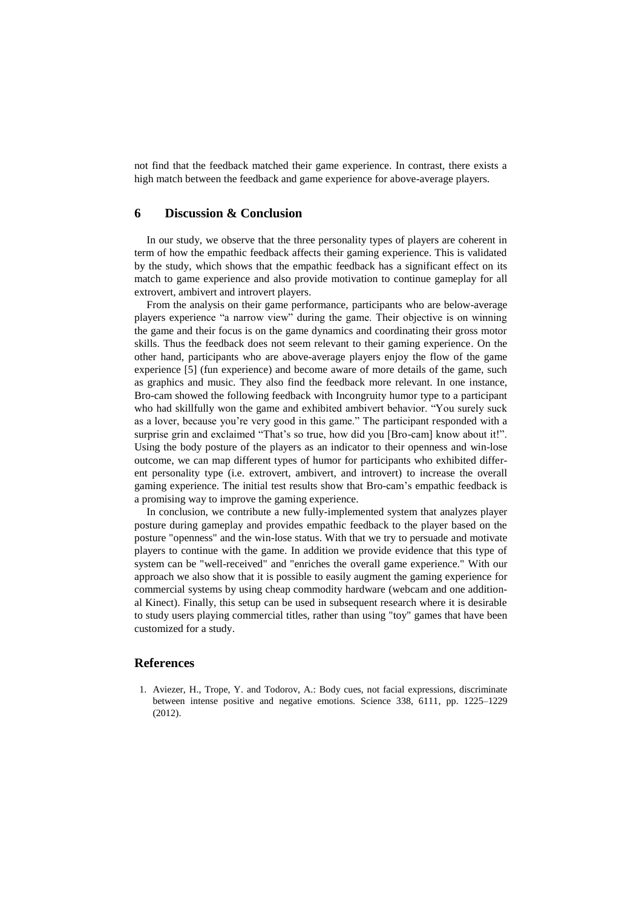not find that the feedback matched their game experience. In contrast, there exists a high match between the feedback and game experience for above-average players.

# **6 Discussion & Conclusion**

In our study, we observe that the three personality types of players are coherent in term of how the empathic feedback affects their gaming experience. This is validated by the study, which shows that the empathic feedback has a significant effect on its match to game experience and also provide motivation to continue gameplay for all extrovert, ambivert and introvert players.

From the analysis on their game performance, participants who are below-average players experience "a narrow view" during the game. Their objective is on winning the game and their focus is on the game dynamics and coordinating their gross motor skills. Thus the feedback does not seem relevant to their gaming experience. On the other hand, participants who are above-average players enjoy the flow of the game experience [5] (fun experience) and become aware of more details of the game, such as graphics and music. They also find the feedback more relevant. In one instance, Bro-cam showed the following feedback with Incongruity humor type to a participant who had skillfully won the game and exhibited ambivert behavior. "You surely suck as a lover, because you're very good in this game." The participant responded with a surprise grin and exclaimed "That's so true, how did you [Bro-cam] know about it!". Using the body posture of the players as an indicator to their openness and win-lose outcome, we can map different types of humor for participants who exhibited different personality type (i.e. extrovert, ambivert, and introvert) to increase the overall gaming experience. The initial test results show that Bro-cam's empathic feedback is a promising way to improve the gaming experience.

In conclusion, we contribute a new fully-implemented system that analyzes player posture during gameplay and provides empathic feedback to the player based on the posture "openness" and the win-lose status. With that we try to persuade and motivate players to continue with the game. In addition we provide evidence that this type of system can be "well-received" and "enriches the overall game experience." With our approach we also show that it is possible to easily augment the gaming experience for commercial systems by using cheap commodity hardware (webcam and one additional Kinect). Finally, this setup can be used in subsequent research where it is desirable to study users playing commercial titles, rather than using "toy" games that have been customized for a study.

### **References**

1. Aviezer, H., Trope, Y. and Todorov, A.: Body cues, not facial expressions, discriminate between intense positive and negative emotions. Science 338, 6111, pp. 1225–1229 (2012).